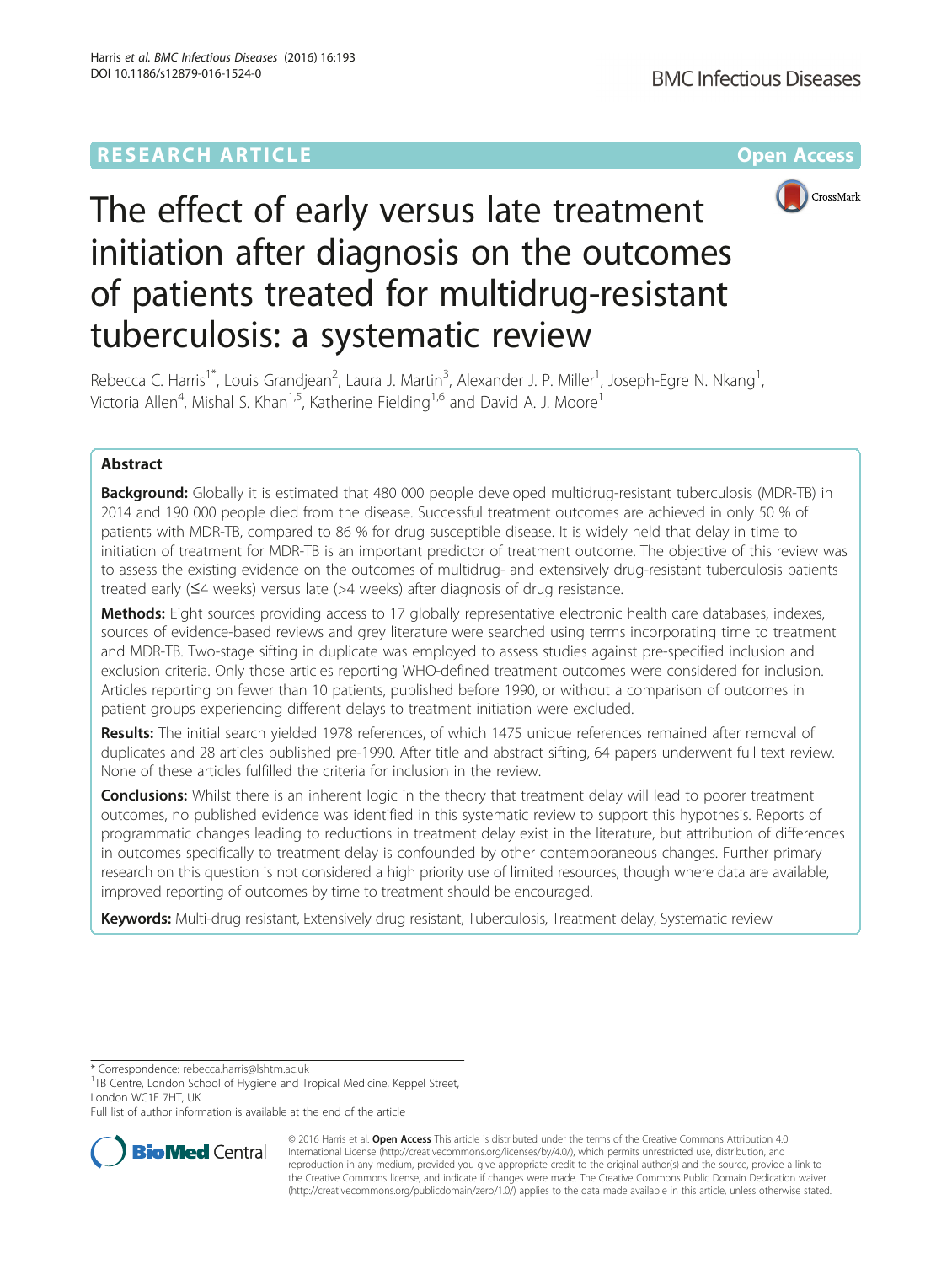# **RESEARCH ARTICLE Example 2014 12:30 The Community Community Community Community Community Community Community**



# The effect of early versus late treatment initiation after diagnosis on the outcomes of patients treated for multidrug-resistant tuberculosis: a systematic review

Rebecca C. Harris<sup>1\*</sup>, Louis Grandjean<sup>2</sup>, Laura J. Martin<sup>3</sup>, Alexander J. P. Miller<sup>1</sup>, Joseph-Egre N. Nkang<sup>1</sup> , Victoria Allen<sup>4</sup>, Mishal S. Khan<sup>1,5</sup>, Katherine Fielding<sup>1,6</sup> and David A. J. Moore<sup>1</sup>

# Abstract

**Background:** Globally it is estimated that 480 000 people developed multidrug-resistant tuberculosis (MDR-TB) in 2014 and 190 000 people died from the disease. Successful treatment outcomes are achieved in only 50 % of patients with MDR-TB, compared to 86 % for drug susceptible disease. It is widely held that delay in time to initiation of treatment for MDR-TB is an important predictor of treatment outcome. The objective of this review was to assess the existing evidence on the outcomes of multidrug- and extensively drug-resistant tuberculosis patients treated early (≤4 weeks) versus late (>4 weeks) after diagnosis of drug resistance.

Methods: Eight sources providing access to 17 globally representative electronic health care databases, indexes, sources of evidence-based reviews and grey literature were searched using terms incorporating time to treatment and MDR-TB. Two-stage sifting in duplicate was employed to assess studies against pre-specified inclusion and exclusion criteria. Only those articles reporting WHO-defined treatment outcomes were considered for inclusion. Articles reporting on fewer than 10 patients, published before 1990, or without a comparison of outcomes in patient groups experiencing different delays to treatment initiation were excluded.

Results: The initial search yielded 1978 references, of which 1475 unique references remained after removal of duplicates and 28 articles published pre-1990. After title and abstract sifting, 64 papers underwent full text review. None of these articles fulfilled the criteria for inclusion in the review.

**Conclusions:** Whilst there is an inherent logic in the theory that treatment delay will lead to poorer treatment outcomes, no published evidence was identified in this systematic review to support this hypothesis. Reports of programmatic changes leading to reductions in treatment delay exist in the literature, but attribution of differences in outcomes specifically to treatment delay is confounded by other contemporaneous changes. Further primary research on this question is not considered a high priority use of limited resources, though where data are available, improved reporting of outcomes by time to treatment should be encouraged.

Keywords: Multi-drug resistant, Extensively drug resistant, Tuberculosis, Treatment delay, Systematic review

Full list of author information is available at the end of the article



© 2016 Harris et al. Open Access This article is distributed under the terms of the Creative Commons Attribution 4.0 International License [\(http://creativecommons.org/licenses/by/4.0/](http://creativecommons.org/licenses/by/4.0/)), which permits unrestricted use, distribution, and reproduction in any medium, provided you give appropriate credit to the original author(s) and the source, provide a link to the Creative Commons license, and indicate if changes were made. The Creative Commons Public Domain Dedication waiver [\(http://creativecommons.org/publicdomain/zero/1.0/](http://creativecommons.org/publicdomain/zero/1.0/)) applies to the data made available in this article, unless otherwise stated.

<sup>\*</sup> Correspondence: [rebecca.harris@lshtm.ac.uk](mailto:rebecca.harris@lshtm.ac.uk) <sup>1</sup>

<sup>&</sup>lt;sup>1</sup>TB Centre, London School of Hygiene and Tropical Medicine, Keppel Street, London WC1E 7HT, UK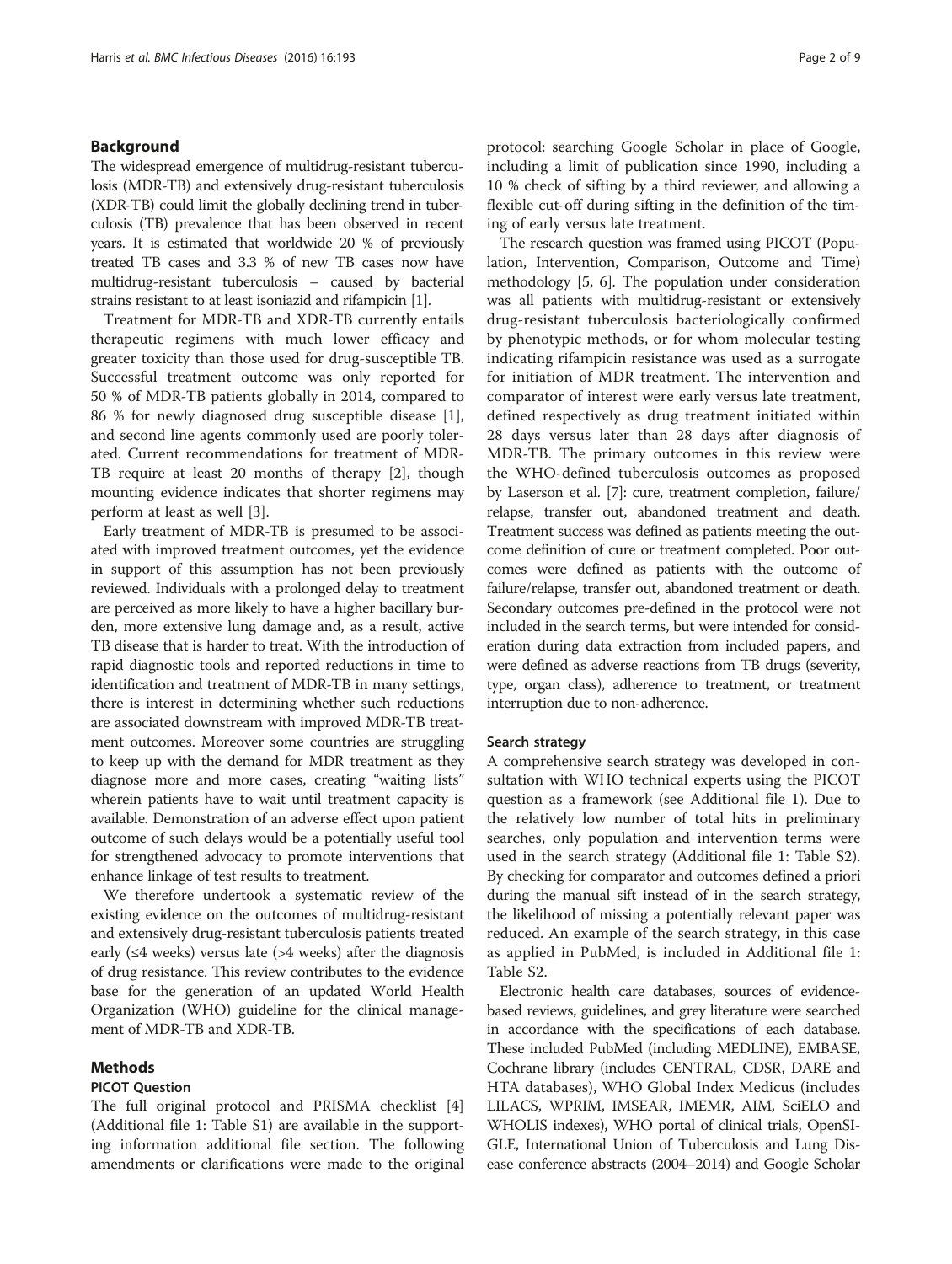# Background

The widespread emergence of multidrug-resistant tuberculosis (MDR-TB) and extensively drug-resistant tuberculosis (XDR-TB) could limit the globally declining trend in tuberculosis (TB) prevalence that has been observed in recent years. It is estimated that worldwide 20 % of previously treated TB cases and 3.3 % of new TB cases now have multidrug-resistant tuberculosis – caused by bacterial strains resistant to at least isoniazid and rifampicin [\[1\]](#page-7-0).

Treatment for MDR-TB and XDR-TB currently entails therapeutic regimens with much lower efficacy and greater toxicity than those used for drug-susceptible TB. Successful treatment outcome was only reported for 50 % of MDR-TB patients globally in 2014, compared to 86 % for newly diagnosed drug susceptible disease [\[1](#page-7-0)], and second line agents commonly used are poorly tolerated. Current recommendations for treatment of MDR-TB require at least 20 months of therapy [\[2](#page-7-0)], though mounting evidence indicates that shorter regimens may perform at least as well [\[3](#page-7-0)].

Early treatment of MDR-TB is presumed to be associated with improved treatment outcomes, yet the evidence in support of this assumption has not been previously reviewed. Individuals with a prolonged delay to treatment are perceived as more likely to have a higher bacillary burden, more extensive lung damage and, as a result, active TB disease that is harder to treat. With the introduction of rapid diagnostic tools and reported reductions in time to identification and treatment of MDR-TB in many settings, there is interest in determining whether such reductions are associated downstream with improved MDR-TB treatment outcomes. Moreover some countries are struggling to keep up with the demand for MDR treatment as they diagnose more and more cases, creating "waiting lists" wherein patients have to wait until treatment capacity is available. Demonstration of an adverse effect upon patient outcome of such delays would be a potentially useful tool for strengthened advocacy to promote interventions that enhance linkage of test results to treatment.

We therefore undertook a systematic review of the existing evidence on the outcomes of multidrug-resistant and extensively drug-resistant tuberculosis patients treated early ( $\leq$ 4 weeks) versus late ( $>$ 4 weeks) after the diagnosis of drug resistance. This review contributes to the evidence base for the generation of an updated World Health Organization (WHO) guideline for the clinical management of MDR-TB and XDR-TB.

### Methods

## PICOT Question

The full original protocol and PRISMA checklist [\[4](#page-7-0)] (Additional file [1:](#page-7-0) Table S1) are available in the supporting information [additional file](#page-7-0) section. The following amendments or clarifications were made to the original protocol: searching Google Scholar in place of Google, including a limit of publication since 1990, including a 10 % check of sifting by a third reviewer, and allowing a flexible cut-off during sifting in the definition of the timing of early versus late treatment.

The research question was framed using PICOT (Population, Intervention, Comparison, Outcome and Time) methodology [\[5](#page-7-0), [6](#page-7-0)]. The population under consideration was all patients with multidrug-resistant or extensively drug-resistant tuberculosis bacteriologically confirmed by phenotypic methods, or for whom molecular testing indicating rifampicin resistance was used as a surrogate for initiation of MDR treatment. The intervention and comparator of interest were early versus late treatment, defined respectively as drug treatment initiated within 28 days versus later than 28 days after diagnosis of MDR-TB. The primary outcomes in this review were the WHO-defined tuberculosis outcomes as proposed by Laserson et al. [\[7](#page-7-0)]: cure, treatment completion, failure/ relapse, transfer out, abandoned treatment and death. Treatment success was defined as patients meeting the outcome definition of cure or treatment completed. Poor outcomes were defined as patients with the outcome of failure/relapse, transfer out, abandoned treatment or death. Secondary outcomes pre-defined in the protocol were not included in the search terms, but were intended for consideration during data extraction from included papers, and were defined as adverse reactions from TB drugs (severity, type, organ class), adherence to treatment, or treatment interruption due to non-adherence.

### Search strategy

A comprehensive search strategy was developed in consultation with WHO technical experts using the PICOT question as a framework (see Additional file [1](#page-7-0)). Due to the relatively low number of total hits in preliminary searches, only population and intervention terms were used in the search strategy (Additional file [1:](#page-7-0) Table S2). By checking for comparator and outcomes defined a priori during the manual sift instead of in the search strategy, the likelihood of missing a potentially relevant paper was reduced. An example of the search strategy, in this case as applied in PubMed, is included in Additional file [1](#page-7-0): Table S2.

Electronic health care databases, sources of evidencebased reviews, guidelines, and grey literature were searched in accordance with the specifications of each database. These included PubMed (including MEDLINE), EMBASE, Cochrane library (includes CENTRAL, CDSR, DARE and HTA databases), WHO Global Index Medicus (includes LILACS, WPRIM, IMSEAR, IMEMR, AIM, SciELO and WHOLIS indexes), WHO portal of clinical trials, OpenSI-GLE, International Union of Tuberculosis and Lung Disease conference abstracts (2004–2014) and Google Scholar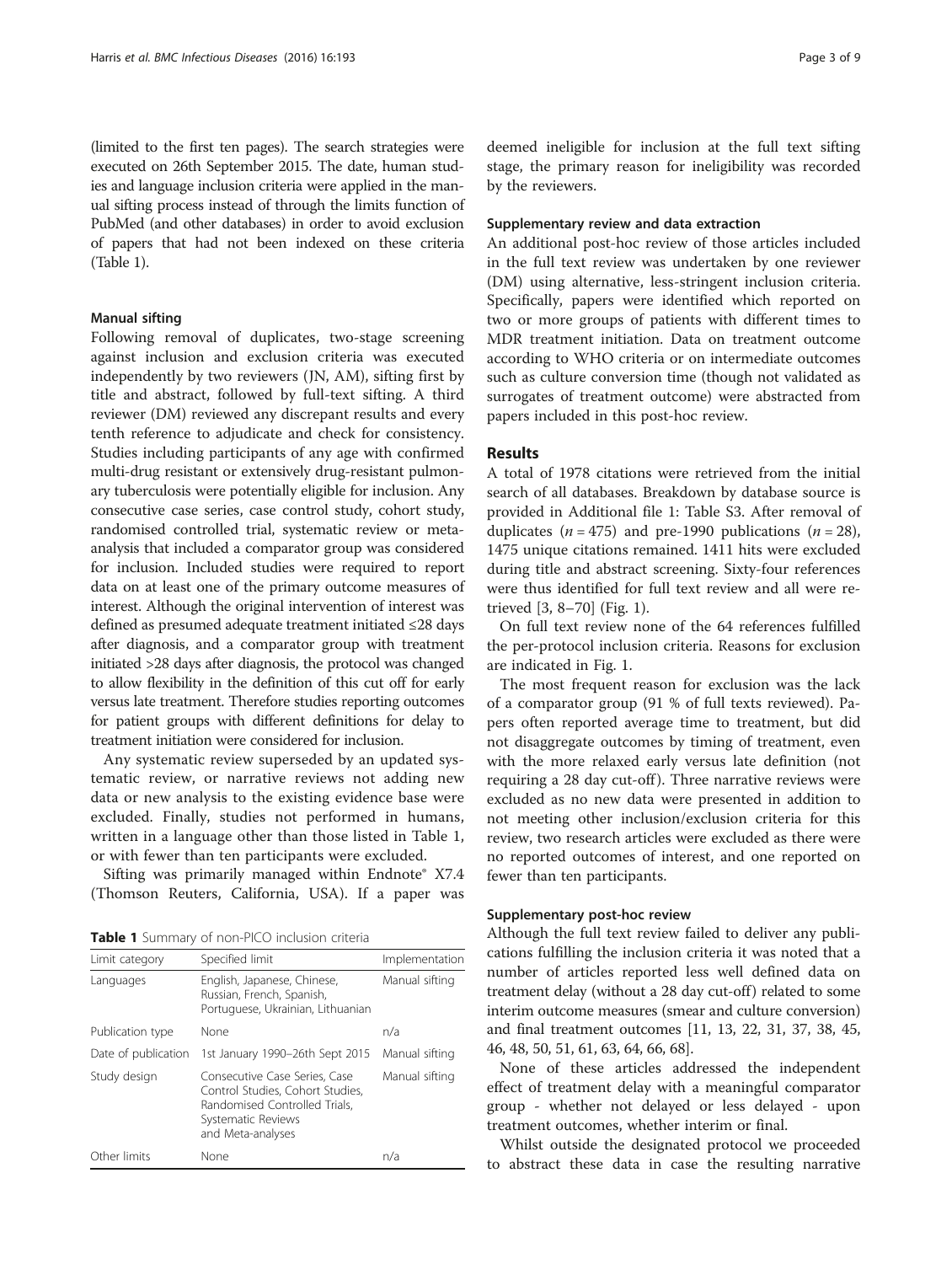(limited to the first ten pages). The search strategies were executed on 26th September 2015. The date, human studies and language inclusion criteria were applied in the manual sifting process instead of through the limits function of PubMed (and other databases) in order to avoid exclusion of papers that had not been indexed on these criteria (Table 1).

### Manual sifting

Following removal of duplicates, two-stage screening against inclusion and exclusion criteria was executed independently by two reviewers (JN, AM), sifting first by title and abstract, followed by full-text sifting. A third reviewer (DM) reviewed any discrepant results and every tenth reference to adjudicate and check for consistency. Studies including participants of any age with confirmed multi-drug resistant or extensively drug-resistant pulmonary tuberculosis were potentially eligible for inclusion. Any consecutive case series, case control study, cohort study, randomised controlled trial, systematic review or metaanalysis that included a comparator group was considered for inclusion. Included studies were required to report data on at least one of the primary outcome measures of interest. Although the original intervention of interest was defined as presumed adequate treatment initiated ≤28 days after diagnosis, and a comparator group with treatment initiated >28 days after diagnosis, the protocol was changed to allow flexibility in the definition of this cut off for early versus late treatment. Therefore studies reporting outcomes for patient groups with different definitions for delay to treatment initiation were considered for inclusion.

Any systematic review superseded by an updated systematic review, or narrative reviews not adding new data or new analysis to the existing evidence base were excluded. Finally, studies not performed in humans, written in a language other than those listed in Table 1, or with fewer than ten participants were excluded.

Sifting was primarily managed within Endnote® X7.4 (Thomson Reuters, California, USA). If a paper was

Table 1 Summary of non-PICO inclusion criteria

| Limit category                                                                                                                                                | Specified limit                                                                               | Implementation |
|---------------------------------------------------------------------------------------------------------------------------------------------------------------|-----------------------------------------------------------------------------------------------|----------------|
| Languages                                                                                                                                                     | English, Japanese, Chinese,<br>Russian, French, Spanish,<br>Portuguese, Ukrainian, Lithuanian | Manual sifting |
| Publication type                                                                                                                                              | None                                                                                          | n/a            |
| Date of publication                                                                                                                                           | 1st January 1990-26th Sept 2015                                                               | Manual sifting |
| Study design<br>Consecutive Case Series, Case<br>Control Studies, Cohort Studies,<br>Randomised Controlled Trials,<br>Systematic Reviews<br>and Meta-analyses |                                                                                               | Manual sifting |
| Other limits                                                                                                                                                  | None                                                                                          | n/a            |

deemed ineligible for inclusion at the full text sifting stage, the primary reason for ineligibility was recorded by the reviewers.

## Supplementary review and data extraction

An additional post-hoc review of those articles included in the full text review was undertaken by one reviewer (DM) using alternative, less-stringent inclusion criteria. Specifically, papers were identified which reported on two or more groups of patients with different times to MDR treatment initiation. Data on treatment outcome according to WHO criteria or on intermediate outcomes such as culture conversion time (though not validated as surrogates of treatment outcome) were abstracted from papers included in this post-hoc review.

## Results

A total of 1978 citations were retrieved from the initial search of all databases. Breakdown by database source is provided in Additional file [1:](#page-7-0) Table S3. After removal of duplicates ( $n = 475$ ) and pre-1990 publications ( $n = 28$ ), 1475 unique citations remained. 1411 hits were excluded during title and abstract screening. Sixty-four references were thus identified for full text review and all were retrieved [[3, 8](#page-7-0)–[70\]](#page-8-0) (Fig. [1](#page-3-0)).

On full text review none of the 64 references fulfilled the per-protocol inclusion criteria. Reasons for exclusion are indicated in Fig. [1.](#page-3-0)

The most frequent reason for exclusion was the lack of a comparator group (91 % of full texts reviewed). Papers often reported average time to treatment, but did not disaggregate outcomes by timing of treatment, even with the more relaxed early versus late definition (not requiring a 28 day cut-off). Three narrative reviews were excluded as no new data were presented in addition to not meeting other inclusion/exclusion criteria for this review, two research articles were excluded as there were no reported outcomes of interest, and one reported on fewer than ten participants.

# Supplementary post-hoc review

Although the full text review failed to deliver any publications fulfilling the inclusion criteria it was noted that a number of articles reported less well defined data on treatment delay (without a 28 day cut-off) related to some interim outcome measures (smear and culture conversion) and final treatment outcomes [\[11, 13](#page-7-0), [22](#page-7-0), [31, 37](#page-8-0), [38, 45](#page-8-0), [46](#page-8-0), [48, 50, 51](#page-8-0), [61, 63, 64](#page-8-0), [66, 68\]](#page-8-0).

None of these articles addressed the independent effect of treatment delay with a meaningful comparator group - whether not delayed or less delayed - upon treatment outcomes, whether interim or final.

Whilst outside the designated protocol we proceeded to abstract these data in case the resulting narrative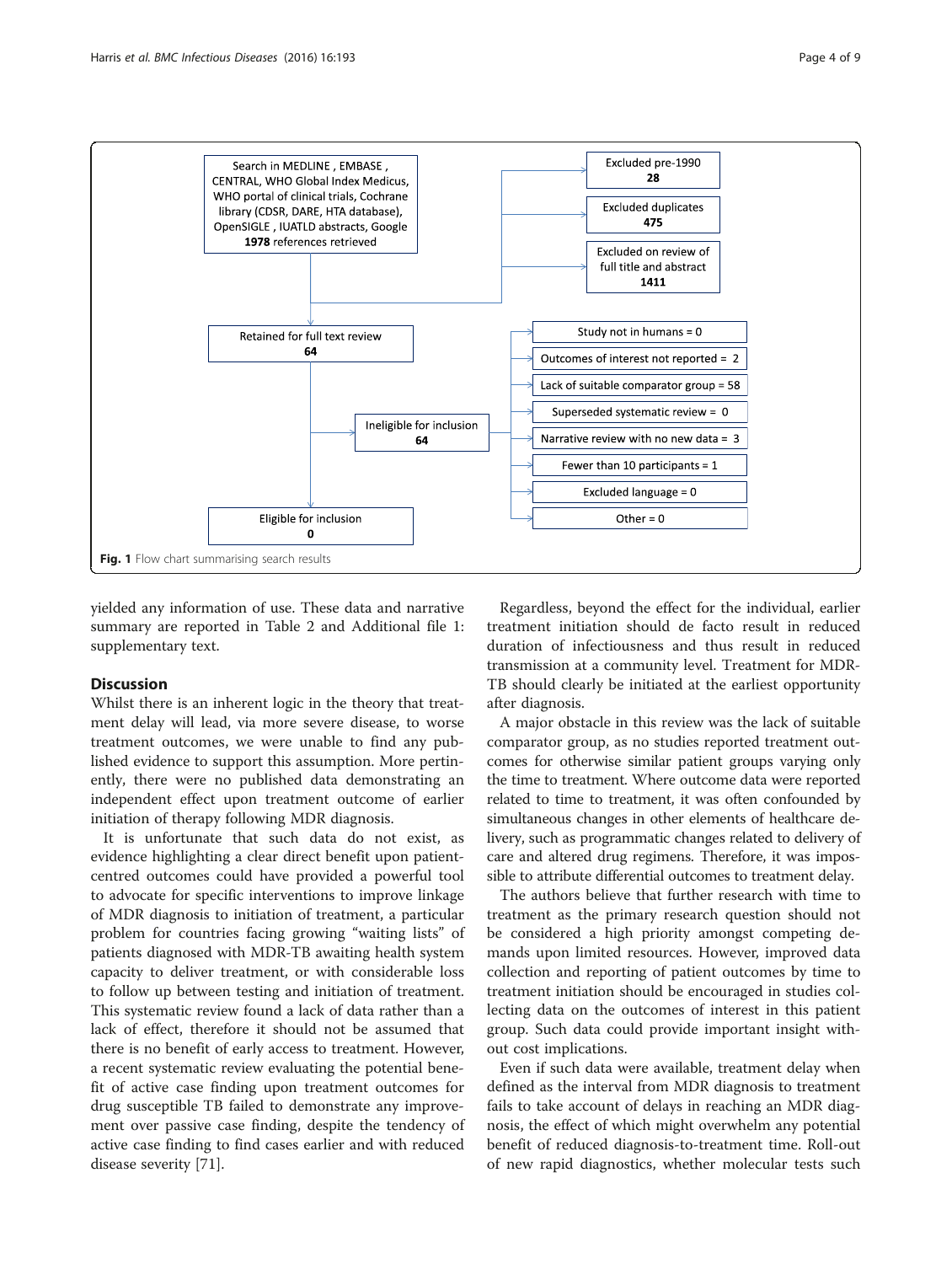<span id="page-3-0"></span>

yielded any information of use. These data and narrative summary are reported in Table [2](#page-4-0) and Additional file [1](#page-7-0): supplementary text.

# Discussion

Whilst there is an inherent logic in the theory that treatment delay will lead, via more severe disease, to worse treatment outcomes, we were unable to find any published evidence to support this assumption. More pertinently, there were no published data demonstrating an independent effect upon treatment outcome of earlier initiation of therapy following MDR diagnosis.

It is unfortunate that such data do not exist, as evidence highlighting a clear direct benefit upon patientcentred outcomes could have provided a powerful tool to advocate for specific interventions to improve linkage of MDR diagnosis to initiation of treatment, a particular problem for countries facing growing "waiting lists" of patients diagnosed with MDR-TB awaiting health system capacity to deliver treatment, or with considerable loss to follow up between testing and initiation of treatment. This systematic review found a lack of data rather than a lack of effect, therefore it should not be assumed that there is no benefit of early access to treatment. However, a recent systematic review evaluating the potential benefit of active case finding upon treatment outcomes for drug susceptible TB failed to demonstrate any improvement over passive case finding, despite the tendency of active case finding to find cases earlier and with reduced disease severity [\[71](#page-8-0)].

Regardless, beyond the effect for the individual, earlier treatment initiation should de facto result in reduced duration of infectiousness and thus result in reduced transmission at a community level. Treatment for MDR-TB should clearly be initiated at the earliest opportunity after diagnosis.

A major obstacle in this review was the lack of suitable comparator group, as no studies reported treatment outcomes for otherwise similar patient groups varying only the time to treatment. Where outcome data were reported related to time to treatment, it was often confounded by simultaneous changes in other elements of healthcare delivery, such as programmatic changes related to delivery of care and altered drug regimens. Therefore, it was impossible to attribute differential outcomes to treatment delay.

The authors believe that further research with time to treatment as the primary research question should not be considered a high priority amongst competing demands upon limited resources. However, improved data collection and reporting of patient outcomes by time to treatment initiation should be encouraged in studies collecting data on the outcomes of interest in this patient group. Such data could provide important insight without cost implications.

Even if such data were available, treatment delay when defined as the interval from MDR diagnosis to treatment fails to take account of delays in reaching an MDR diagnosis, the effect of which might overwhelm any potential benefit of reduced diagnosis-to-treatment time. Roll-out of new rapid diagnostics, whether molecular tests such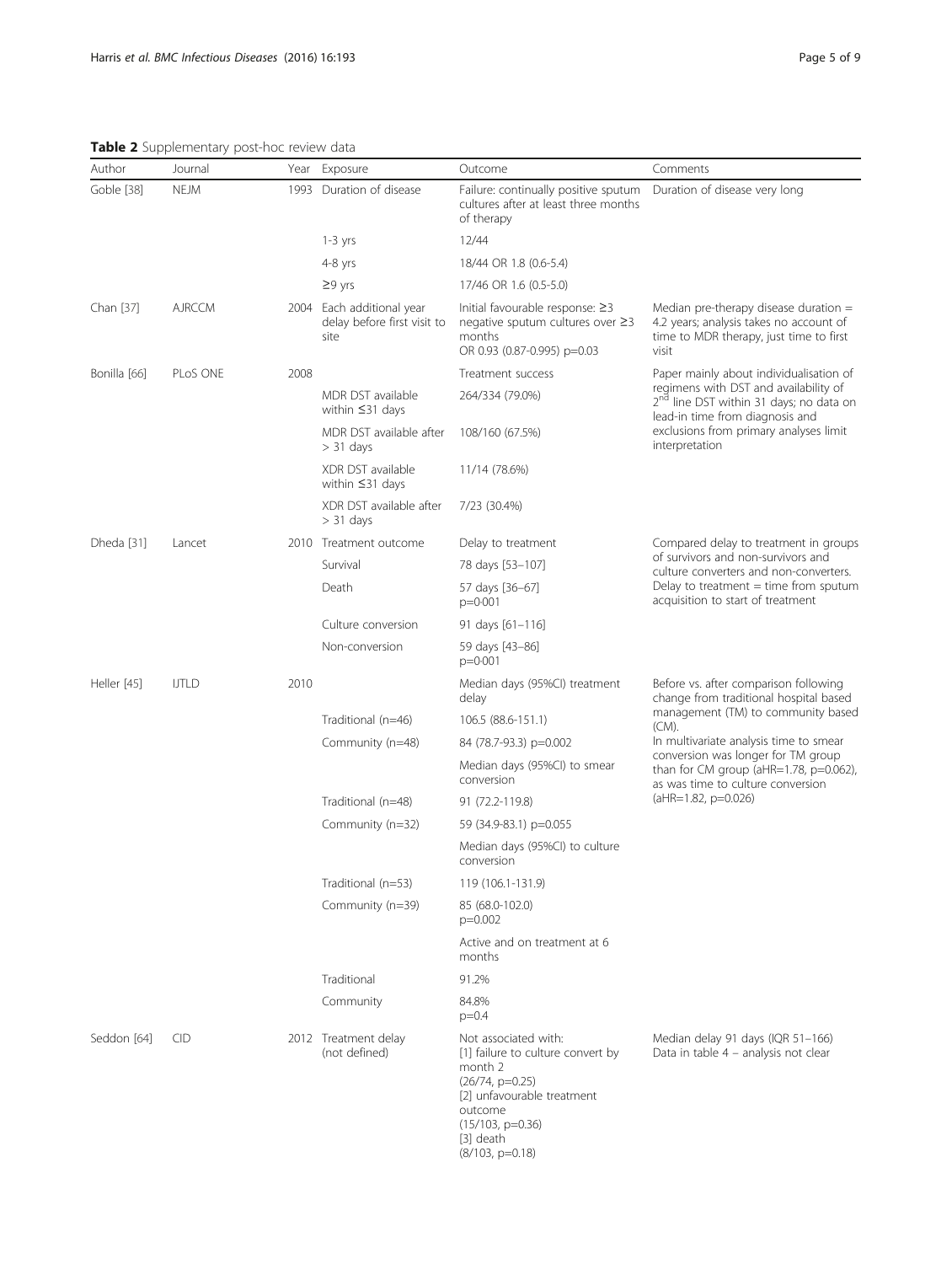# <span id="page-4-0"></span>Table 2 Supplementary post-hoc review data

| Author                    | Journal       |              | Year Exposure                                                    | Outcome                                                                                                                                                                                      | Comments                                                                                                                                                                                                                               |
|---------------------------|---------------|--------------|------------------------------------------------------------------|----------------------------------------------------------------------------------------------------------------------------------------------------------------------------------------------|----------------------------------------------------------------------------------------------------------------------------------------------------------------------------------------------------------------------------------------|
| Goble [38]<br><b>NEJM</b> |               |              | 1993 Duration of disease                                         | Failure: continually positive sputum  Duration of disease very long<br>cultures after at least three months<br>of therapy                                                                    |                                                                                                                                                                                                                                        |
|                           |               |              | $1-3$ yrs                                                        | 12/44                                                                                                                                                                                        |                                                                                                                                                                                                                                        |
|                           |               |              | $4-8$ yrs                                                        | 18/44 OR 1.8 (0.6-5.4)                                                                                                                                                                       |                                                                                                                                                                                                                                        |
|                           |               | $\geq$ 9 yrs | 17/46 OR 1.6 (0.5-5.0)                                           |                                                                                                                                                                                              |                                                                                                                                                                                                                                        |
| Chan [37]                 | <b>AJRCCM</b> |              | 2004 Each additional year<br>delay before first visit to<br>site | Initial favourable response: $\geq$ 3<br>negative sputum cultures over ≥3<br>months<br>OR 0.93 (0.87-0.995) p=0.03                                                                           | Median pre-therapy disease duration $=$<br>4.2 years; analysis takes no account of<br>time to MDR therapy, just time to first<br>visit                                                                                                 |
| Bonilla [66]<br>PLoS ONE  |               | 2008         |                                                                  | Treatment success                                                                                                                                                                            | Paper mainly about individualisation of<br>regimens with DST and availability of<br>2 <sup>nd</sup> line DST within 31 days; no data on<br>lead-in time from diagnosis and<br>exclusions from primary analyses limit<br>interpretation |
|                           |               |              | MDR DST available<br>within $\leq$ 31 days                       | 264/334 (79.0%)                                                                                                                                                                              |                                                                                                                                                                                                                                        |
|                           |               |              | MDR DST available after<br>$> 31$ days                           | 108/160 (67.5%)                                                                                                                                                                              |                                                                                                                                                                                                                                        |
|                           |               |              | XDR DST available<br>within $\leq$ 31 days                       | 11/14 (78.6%)                                                                                                                                                                                |                                                                                                                                                                                                                                        |
|                           |               |              | XDR DST available after<br>$> 31$ days                           | 7/23 (30.4%)                                                                                                                                                                                 |                                                                                                                                                                                                                                        |
| Dheda [31]                | Lancet        |              | 2010 Treatment outcome                                           | Delay to treatment                                                                                                                                                                           | Compared delay to treatment in groups                                                                                                                                                                                                  |
|                           |               |              | Survival                                                         | 78 days [53-107]                                                                                                                                                                             | of survivors and non-survivors and<br>culture converters and non-converters.                                                                                                                                                           |
|                           |               |              | Death                                                            | 57 days [36-67]<br>$p = 0.001$                                                                                                                                                               | Delay to treatment $=$ time from sputum<br>acquisition to start of treatment                                                                                                                                                           |
|                           |               |              | Culture conversion                                               | 91 days $[61-116]$                                                                                                                                                                           |                                                                                                                                                                                                                                        |
|                           |               |              | Non-conversion                                                   | 59 days [43-86]<br>$p = 0.001$                                                                                                                                                               |                                                                                                                                                                                                                                        |
| Heller [45]               | <b>IJTLD</b>  | 2010         |                                                                  | Median days (95%Cl) treatment<br>delay                                                                                                                                                       | Before vs. after comparison following<br>change from traditional hospital based<br>management (TM) to community based<br>(CM).                                                                                                         |
|                           |               |              | Traditional (n=46)                                               | 106.5 (88.6-151.1)                                                                                                                                                                           |                                                                                                                                                                                                                                        |
|                           |               |              | Community (n=48)                                                 | 84 (78.7-93.3) p=0.002                                                                                                                                                                       | In multivariate analysis time to smear<br>conversion was longer for TM group<br>than for CM group ( $aHR=1.78$ , $p=0.062$ ),<br>as was time to culture conversion<br>(aHR=1.82, p=0.026)                                              |
|                           |               |              |                                                                  | Median days (95%CI) to smear<br>conversion                                                                                                                                                   |                                                                                                                                                                                                                                        |
|                           |               |              | Traditional (n=48)                                               | 91 (72.2-119.8)                                                                                                                                                                              |                                                                                                                                                                                                                                        |
|                           |               |              | Community (n=32)                                                 | 59 (34.9-83.1) p=0.055                                                                                                                                                                       |                                                                                                                                                                                                                                        |
|                           |               |              |                                                                  | Median days (95%CI) to culture<br>conversion                                                                                                                                                 |                                                                                                                                                                                                                                        |
|                           |               |              | Traditional (n=53)                                               | 119 (106.1-131.9)                                                                                                                                                                            |                                                                                                                                                                                                                                        |
|                           |               |              | Community (n=39)                                                 | 85 (68.0-102.0)<br>$p=0.002$                                                                                                                                                                 |                                                                                                                                                                                                                                        |
|                           |               |              |                                                                  | Active and on treatment at 6<br>months                                                                                                                                                       |                                                                                                                                                                                                                                        |
|                           |               |              | Traditional                                                      | 91.2%                                                                                                                                                                                        |                                                                                                                                                                                                                                        |
|                           |               |              | Community                                                        | 84.8%<br>$p=0.4$                                                                                                                                                                             |                                                                                                                                                                                                                                        |
| Seddon [64]               | <b>CID</b>    |              | 2012 Treatment delay<br>(not defined)                            | Not associated with:<br>[1] failure to culture convert by<br>month 2<br>$(26/74, p=0.25)$<br>[2] unfavourable treatment<br>outcome<br>$(15/103, p=0.36)$<br>$[3]$ death<br>$(8/103, p=0.18)$ | Median delay 91 days (IQR 51-166)<br>Data in table 4 - analysis not clear                                                                                                                                                              |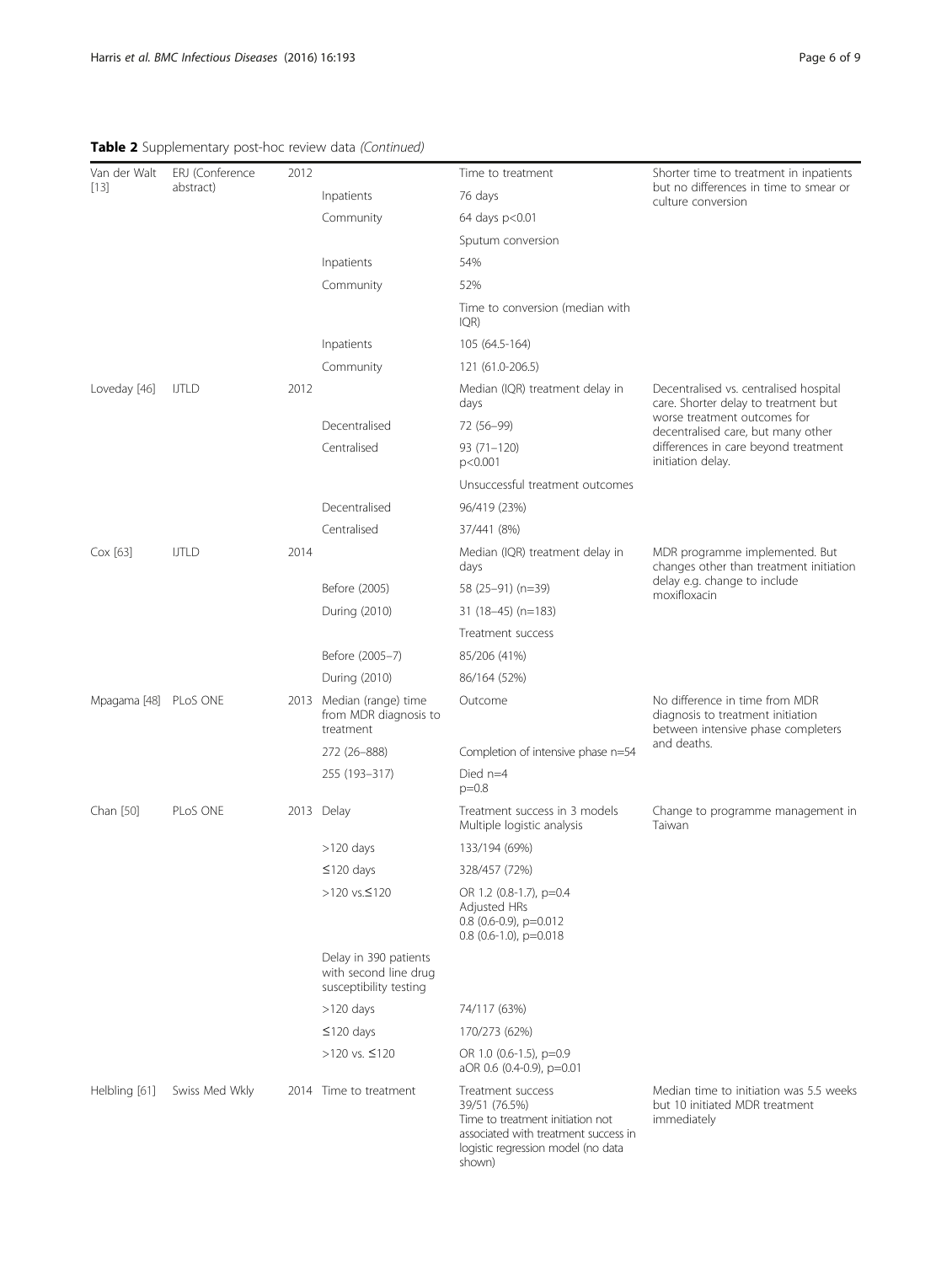# Table 2 Supplementary post-hoc review data (Continued)

| Van der Walt<br>$[13]$ | ERJ (Conference<br>abstract) | 2012 |                                                                          | Time to treatment                                                                                                                                              | Shorter time to treatment in inpatients                                                                                                                                                                           |
|------------------------|------------------------------|------|--------------------------------------------------------------------------|----------------------------------------------------------------------------------------------------------------------------------------------------------------|-------------------------------------------------------------------------------------------------------------------------------------------------------------------------------------------------------------------|
|                        |                              |      | Inpatients                                                               | 76 days                                                                                                                                                        | but no differences in time to smear or<br>culture conversion                                                                                                                                                      |
|                        |                              |      | Community                                                                | 64 days p<0.01                                                                                                                                                 |                                                                                                                                                                                                                   |
|                        |                              |      |                                                                          | Sputum conversion                                                                                                                                              |                                                                                                                                                                                                                   |
|                        |                              |      | Inpatients                                                               | 54%                                                                                                                                                            |                                                                                                                                                                                                                   |
|                        |                              |      | Community                                                                | 52%                                                                                                                                                            |                                                                                                                                                                                                                   |
|                        |                              |      |                                                                          | Time to conversion (median with<br>IQR)                                                                                                                        |                                                                                                                                                                                                                   |
|                        |                              |      | Inpatients                                                               | 105 (64.5-164)                                                                                                                                                 |                                                                                                                                                                                                                   |
|                        |                              |      | Community                                                                | 121 (61.0-206.5)                                                                                                                                               |                                                                                                                                                                                                                   |
| Loveday [46]           | <b>UTLD</b>                  | 2012 |                                                                          | Median (IQR) treatment delay in<br>days                                                                                                                        | Decentralised vs. centralised hospital<br>care. Shorter delay to treatment but<br>worse treatment outcomes for<br>decentralised care, but many other<br>differences in care beyond treatment<br>initiation delay. |
|                        |                              |      | Decentralised                                                            | 72 (56-99)                                                                                                                                                     |                                                                                                                                                                                                                   |
|                        |                              |      | Centralised                                                              | $93(71 - 120)$<br>p<0.001                                                                                                                                      |                                                                                                                                                                                                                   |
|                        |                              |      |                                                                          | Unsuccessful treatment outcomes                                                                                                                                |                                                                                                                                                                                                                   |
|                        |                              |      | Decentralised                                                            | 96/419 (23%)                                                                                                                                                   |                                                                                                                                                                                                                   |
|                        |                              |      | Centralised                                                              | 37/441 (8%)                                                                                                                                                    |                                                                                                                                                                                                                   |
| Cox [63]               | <b>IJTLD</b>                 | 2014 |                                                                          | Median (IQR) treatment delay in<br>days                                                                                                                        | MDR programme implemented. But<br>changes other than treatment initiation<br>delay e.g. change to include<br>moxifloxacin                                                                                         |
|                        |                              |      | Before (2005)                                                            | 58 (25-91) (n=39)                                                                                                                                              |                                                                                                                                                                                                                   |
|                        |                              |      | During (2010)                                                            | 31 (18-45) (n=183)                                                                                                                                             |                                                                                                                                                                                                                   |
|                        |                              |      |                                                                          | Treatment success                                                                                                                                              |                                                                                                                                                                                                                   |
|                        |                              |      | Before (2005-7)                                                          | 85/206 (41%)                                                                                                                                                   |                                                                                                                                                                                                                   |
|                        |                              |      | During (2010)                                                            | 86/164 (52%)                                                                                                                                                   |                                                                                                                                                                                                                   |
| Mpagama [48] PLoS ONE  |                              |      | 2013 Median (range) time<br>from MDR diagnosis to<br>treatment           | Outcome                                                                                                                                                        | No difference in time from MDR<br>diagnosis to treatment initiation<br>between intensive phase completers<br>and deaths.                                                                                          |
|                        |                              |      | 272 (26-888)                                                             | Completion of intensive phase n=54                                                                                                                             |                                                                                                                                                                                                                   |
|                        |                              |      | 255 (193-317)                                                            | Died $n=4$<br>$p=0.8$                                                                                                                                          |                                                                                                                                                                                                                   |
| Chan [50]              | PLoS ONE                     |      | 2013 Delay                                                               | Treatment success in 3 models<br>Multiple logistic analysis                                                                                                    | Change to programme management in<br>Taiwan                                                                                                                                                                       |
|                        |                              |      | $>120$ days                                                              | 133/194 (69%)                                                                                                                                                  |                                                                                                                                                                                                                   |
|                        |                              |      | $\leq$ 120 days                                                          | 328/457 (72%)                                                                                                                                                  |                                                                                                                                                                                                                   |
|                        |                              |      | >120 vs. $≤120$                                                          | OR 1.2 (0.8-1.7), p=0.4<br>Adjusted HRs<br>$0.8$ (0.6-0.9), p=0.012<br>$0.8$ (0.6-1.0), p=0.018                                                                |                                                                                                                                                                                                                   |
|                        |                              |      | Delay in 390 patients<br>with second line drug<br>susceptibility testing |                                                                                                                                                                |                                                                                                                                                                                                                   |
|                        |                              |      | $>120$ days                                                              | 74/117 (63%)                                                                                                                                                   |                                                                                                                                                                                                                   |
|                        |                              |      | $\leq$ 120 days                                                          | 170/273 (62%)                                                                                                                                                  |                                                                                                                                                                                                                   |
|                        |                              |      | >120 vs. $≤120$                                                          | OR 1.0 (0.6-1.5), p=0.9<br>aOR 0.6 (0.4-0.9), p=0.01                                                                                                           |                                                                                                                                                                                                                   |
| Helbling [61]          | Swiss Med Wkly               |      | 2014 Time to treatment                                                   | Treatment success<br>39/51 (76.5%)<br>Time to treatment initiation not<br>associated with treatment success in<br>logistic regression model (no data<br>shown) | Median time to initiation was 5.5 weeks<br>but 10 initiated MDR treatment<br>immediately                                                                                                                          |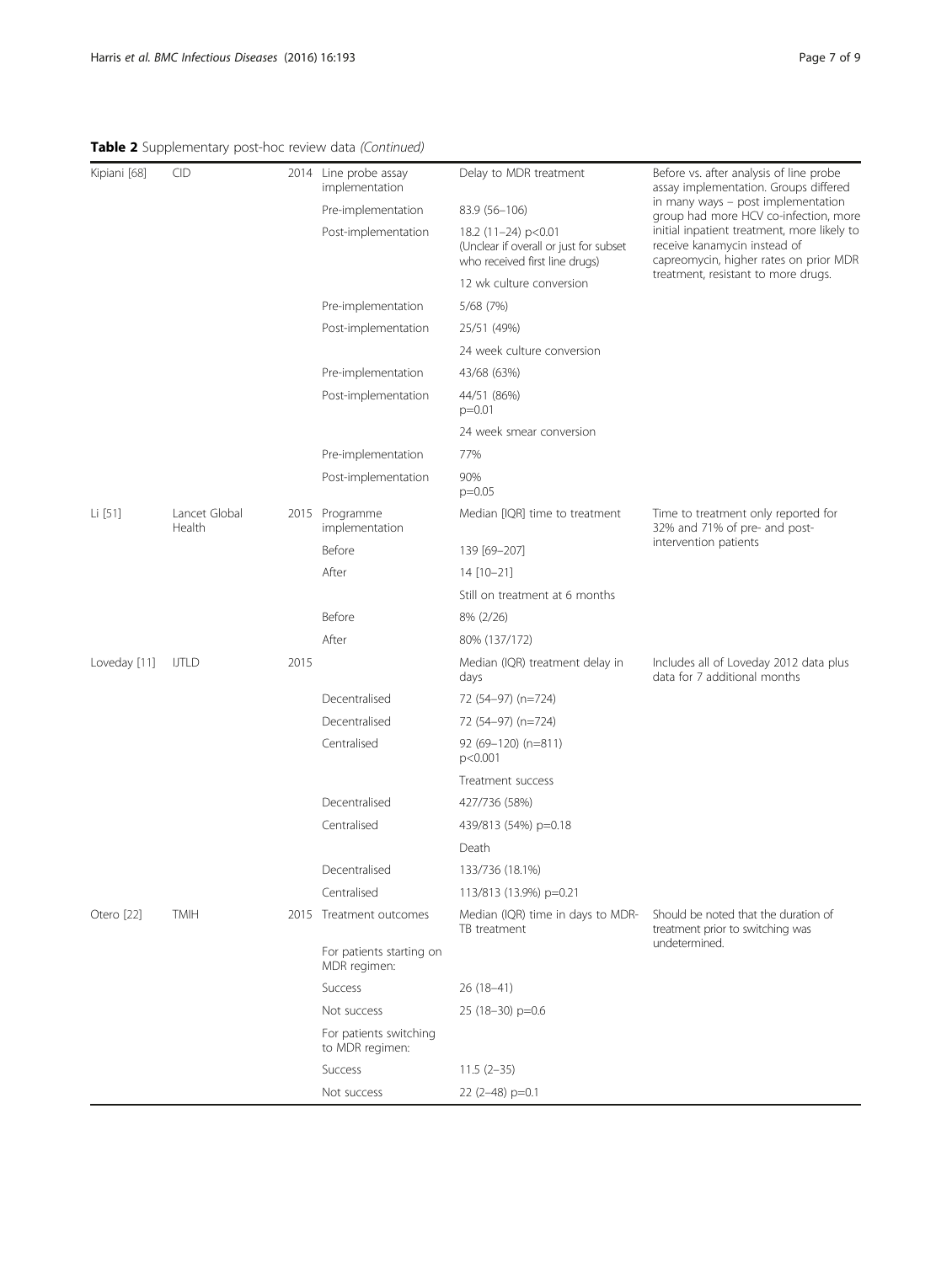# Table 2 Supplementary post-hoc review data (Continued)

| CID<br>Kipiani [68] |                         |      | 2014 Line probe assay<br>implementation   | Delay to MDR treatment                                                                          | Before vs. after analysis of line probe<br>assay implementation. Groups differed                                                                                                                     |
|---------------------|-------------------------|------|-------------------------------------------|-------------------------------------------------------------------------------------------------|------------------------------------------------------------------------------------------------------------------------------------------------------------------------------------------------------|
|                     |                         |      | Pre-implementation                        | 83.9 (56-106)                                                                                   | in many ways - post implementation<br>group had more HCV co-infection, more<br>initial inpatient treatment, more likely to<br>receive kanamycin instead of<br>capreomycin, higher rates on prior MDR |
|                     |                         |      | Post-implementation                       | 18.2 (11-24) p<0.01<br>(Unclear if overall or just for subset<br>who received first line drugs) |                                                                                                                                                                                                      |
|                     |                         |      |                                           | 12 wk culture conversion                                                                        | treatment, resistant to more drugs.                                                                                                                                                                  |
|                     |                         |      | Pre-implementation                        | 5/68 (7%)                                                                                       |                                                                                                                                                                                                      |
|                     |                         |      | Post-implementation                       | 25/51 (49%)                                                                                     |                                                                                                                                                                                                      |
|                     |                         |      |                                           | 24 week culture conversion                                                                      |                                                                                                                                                                                                      |
|                     |                         |      | Pre-implementation                        | 43/68 (63%)                                                                                     |                                                                                                                                                                                                      |
|                     |                         |      | Post-implementation                       | 44/51 (86%)<br>$p=0.01$                                                                         |                                                                                                                                                                                                      |
|                     |                         |      |                                           | 24 week smear conversion                                                                        |                                                                                                                                                                                                      |
|                     |                         |      | Pre-implementation                        | 77%                                                                                             |                                                                                                                                                                                                      |
|                     |                         |      | Post-implementation                       | 90%<br>$p=0.05$                                                                                 |                                                                                                                                                                                                      |
| Li [51]             | Lancet Global<br>Health |      | 2015 Programme<br>implementation          | Median [IQR] time to treatment                                                                  | Time to treatment only reported for<br>32% and 71% of pre- and post-<br>intervention patients                                                                                                        |
|                     |                         |      | Before                                    | 139 [69-207]                                                                                    |                                                                                                                                                                                                      |
|                     |                         |      | After                                     | 14 [10-21]                                                                                      |                                                                                                                                                                                                      |
|                     |                         |      |                                           | Still on treatment at 6 months                                                                  |                                                                                                                                                                                                      |
|                     |                         |      | Before                                    | 8% (2/26)                                                                                       |                                                                                                                                                                                                      |
|                     |                         |      | After                                     | 80% (137/172)                                                                                   |                                                                                                                                                                                                      |
| Loveday [11]        | <b>IJTLD</b>            | 2015 |                                           | Median (IQR) treatment delay in<br>days                                                         | Includes all of Loveday 2012 data plus<br>data for 7 additional months                                                                                                                               |
|                     |                         |      | Decentralised                             | 72 (54-97) (n=724)                                                                              |                                                                                                                                                                                                      |
|                     |                         |      | Decentralised                             | 72 (54-97) (n=724)                                                                              |                                                                                                                                                                                                      |
|                     |                         |      | Centralised                               | 92 (69-120) (n=811)<br>p<0.001                                                                  |                                                                                                                                                                                                      |
|                     |                         |      |                                           | Treatment success                                                                               |                                                                                                                                                                                                      |
|                     |                         |      | Decentralised                             | 427/736 (58%)                                                                                   |                                                                                                                                                                                                      |
|                     |                         |      | Centralised                               | 439/813 (54%) p=0.18                                                                            |                                                                                                                                                                                                      |
|                     |                         |      |                                           | Death                                                                                           |                                                                                                                                                                                                      |
|                     |                         |      | Decentralised                             | 133/736 (18.1%)                                                                                 |                                                                                                                                                                                                      |
|                     |                         |      | Centralised                               | 113/813 (13.9%) p=0.21                                                                          |                                                                                                                                                                                                      |
| Otero [22]          | <b>TMIH</b>             |      | 2015 Treatment outcomes                   | Median (IQR) time in days to MDR-<br>TB treatment                                               | Should be noted that the duration of<br>treatment prior to switching was<br>undetermined.                                                                                                            |
|                     |                         |      | For patients starting on<br>MDR regimen:  |                                                                                                 |                                                                                                                                                                                                      |
|                     |                         |      | Success                                   | 26 (18–41)                                                                                      |                                                                                                                                                                                                      |
|                     |                         |      | Not success                               | $25(18-30)$ p=0.6                                                                               |                                                                                                                                                                                                      |
|                     |                         |      | For patients switching<br>to MDR regimen: |                                                                                                 |                                                                                                                                                                                                      |
|                     |                         |      | Success                                   | $11.5(2-35)$                                                                                    |                                                                                                                                                                                                      |
|                     |                         |      | Not success                               | 22 (2-48) p=0.1                                                                                 |                                                                                                                                                                                                      |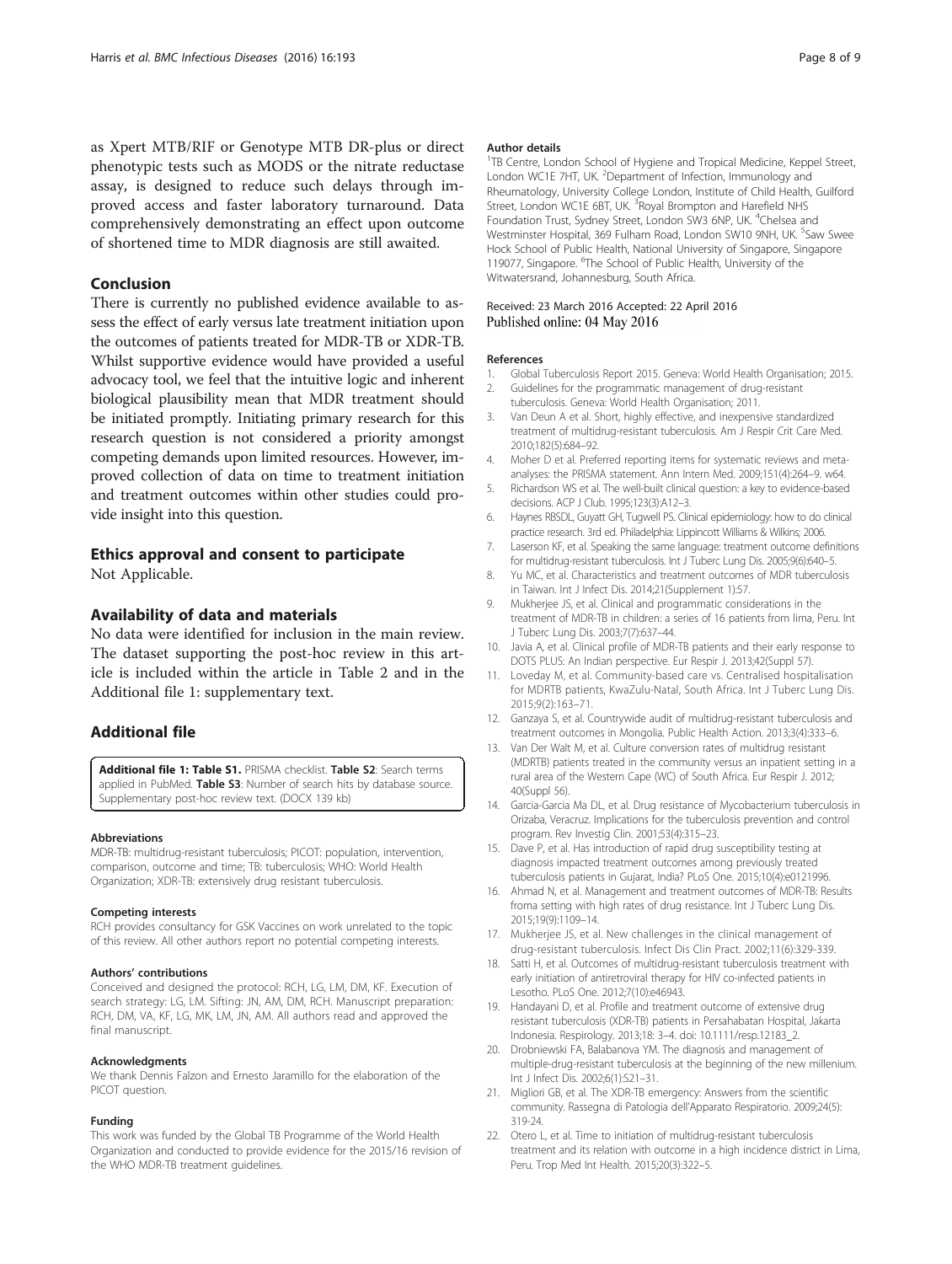<span id="page-7-0"></span>as Xpert MTB/RIF or Genotype MTB DR-plus or direct phenotypic tests such as MODS or the nitrate reductase assay, is designed to reduce such delays through improved access and faster laboratory turnaround. Data comprehensively demonstrating an effect upon outcome of shortened time to MDR diagnosis are still awaited.

## Conclusion

There is currently no published evidence available to assess the effect of early versus late treatment initiation upon the outcomes of patients treated for MDR-TB or XDR-TB. Whilst supportive evidence would have provided a useful advocacy tool, we feel that the intuitive logic and inherent biological plausibility mean that MDR treatment should be initiated promptly. Initiating primary research for this research question is not considered a priority amongst competing demands upon limited resources. However, improved collection of data on time to treatment initiation and treatment outcomes within other studies could provide insight into this question.

# Ethics approval and consent to participate

Not Applicable.

# Availability of data and materials

No data were identified for inclusion in the main review. The dataset supporting the post-hoc review in this article is included within the article in Table [2](#page-4-0) and in the Additional file 1: supplementary text.

### Additional file

[Additional file 1: Table S1.](dx.doi.org/10.1186/s12879-016-1524-0) PRISMA checklist. Table S2: Search terms applied in PubMed. Table S3: Number of search hits by database source. Supplementary post-hoc review text. (DOCX 139 kb)

#### Abbreviations

MDR-TB: multidrug-resistant tuberculosis; PICOT: population, intervention, comparison, outcome and time; TB: tuberculosis; WHO: World Health Organization; XDR-TB: extensively drug resistant tuberculosis.

#### Competing interests

RCH provides consultancy for GSK Vaccines on work unrelated to the topic of this review. All other authors report no potential competing interests.

### Authors' contributions

Conceived and designed the protocol: RCH, LG, LM, DM, KF. Execution of search strategy: LG, LM. Sifting: JN, AM, DM, RCH. Manuscript preparation: RCH, DM, VA, KF, LG, MK, LM, JN, AM. All authors read and approved the final manuscript.

#### Acknowledgments

We thank Dennis Falzon and Ernesto Jaramillo for the elaboration of the PICOT question.

### Funding

This work was funded by the Global TB Programme of the World Health Organization and conducted to provide evidence for the 2015/16 revision of the WHO MDR-TB treatment guidelines.

#### Author details

<sup>1</sup>TB Centre, London School of Hygiene and Tropical Medicine, Keppel Street, London WC1E 7HT, UK. <sup>2</sup>Department of Infection, Immunology and Rheumatology, University College London, Institute of Child Health, Guilford Street, London WC1E 6BT, UK. <sup>3</sup> Royal Brompton and Harefield NHS Foundation Trust, Sydney Street, London SW3 6NP, UK. <sup>4</sup>Chelsea and Westminster Hospital, 369 Fulham Road, London SW10 9NH, UK. <sup>5</sup>Saw Swee Hock School of Public Health, National University of Singapore, Singapore 119077, Singapore. <sup>6</sup>The School of Public Health, University of the Witwatersrand, Johannesburg, South Africa.

### Received: 23 March 2016 Accepted: 22 April 2016 Published online: 04 May 2016

### References

- 1. Global Tuberculosis Report 2015. Geneva: World Health Organisation; 2015.
- 2. Guidelines for the programmatic management of drug-resistant tuberculosis. Geneva: World Health Organisation; 2011.
- 3. Van Deun A et al. Short, highly effective, and inexpensive standardized treatment of multidrug-resistant tuberculosis. Am J Respir Crit Care Med. 2010;182(5):684–92.
- 4. Moher D et al. Preferred reporting items for systematic reviews and metaanalyses: the PRISMA statement. Ann Intern Med. 2009;151(4):264–9. w64.
- 5. Richardson WS et al. The well-built clinical question: a key to evidence-based decisions. ACP J Club. 1995;123(3):A12–3.
- 6. Haynes RBSDL, Guyatt GH, Tugwell PS. Clinical epidemiology: how to do clinical practice research. 3rd ed. Philadelphia: Lippincott Williams & Wilkins; 2006.
- 7. Laserson KF, et al. Speaking the same language: treatment outcome definitions for multidrug-resistant tuberculosis. Int J Tuberc Lung Dis. 2005;9(6):640–5.
- 8. Yu MC, et al. Characteristics and treatment outcomes of MDR tuberculosis in Taiwan. Int J Infect Dis. 2014;21(Supplement 1):57.
- 9. Mukherjee JS, et al. Clinical and programmatic considerations in the treatment of MDR-TB in children: a series of 16 patients from lima, Peru. Int J Tuberc Lung Dis. 2003;7(7):637–44.
- 10. Javia A, et al. Clinical profile of MDR-TB patients and their early response to DOTS PLUS: An Indian perspective. Eur Respir J. 2013;42(Suppl 57).
- 11. Loveday M, et al. Community-based care vs. Centralised hospitalisation for MDRTB patients, KwaZulu-Natal, South Africa. Int J Tuberc Lung Dis. 2015;9(2):163–71.
- 12. Ganzaya S, et al. Countrywide audit of multidrug-resistant tuberculosis and treatment outcomes in Mongolia. Public Health Action. 2013;3(4):333–6.
- 13. Van Der Walt M, et al. Culture conversion rates of multidrug resistant (MDRTB) patients treated in the community versus an inpatient setting in a rural area of the Western Cape (WC) of South Africa. Eur Respir J. 2012; 40(Suppl 56).
- 14. Garcia-Garcia Ma DL, et al. Drug resistance of Mycobacterium tuberculosis in Orizaba, Veracruz. Implications for the tuberculosis prevention and control program. Rev Investig Clin. 2001;53(4):315–23.
- 15. Dave P, et al. Has introduction of rapid drug susceptibility testing at diagnosis impacted treatment outcomes among previously treated tuberculosis patients in Gujarat, India? PLoS One. 2015;10(4):e0121996.
- 16. Ahmad N, et al. Management and treatment outcomes of MDR-TB: Results froma setting with high rates of drug resistance. Int J Tuberc Lung Dis. 2015;19(9):1109–14.
- 17. Mukherjee JS, et al. New challenges in the clinical management of drug-resistant tuberculosis. Infect Dis Clin Pract. 2002;11(6):329-339.
- 18. Satti H, et al. Outcomes of multidrug-resistant tuberculosis treatment with early initiation of antiretroviral therapy for HIV co-infected patients in Lesotho. PLoS One. 2012;7(10):e46943.
- 19. Handayani D, et al. Profile and treatment outcome of extensive drug resistant tuberculosis (XDR-TB) patients in Persahabatan Hospital, Jakarta Indonesia. Respirology. 2013;18: 3–4. doi: [10.1111/resp.12183\\_2](http://dx.doi.org/10.1111/resp.12183_2).
- 20. Drobniewski FA, Balabanova YM. The diagnosis and management of multiple-drug-resistant tuberculosis at the beginning of the new millenium. Int J Infect Dis. 2002;6(1):S21–31.
- 21. Migliori GB, et al. The XDR-TB emergency: Answers from the scientific community. Rassegna di Patologia dell'Apparato Respiratorio. 2009;24(5): 319-24.
- 22. Otero L, et al. Time to initiation of multidrug-resistant tuberculosis treatment and its relation with outcome in a high incidence district in Lima, Peru. Trop Med Int Health. 2015;20(3):322–5.